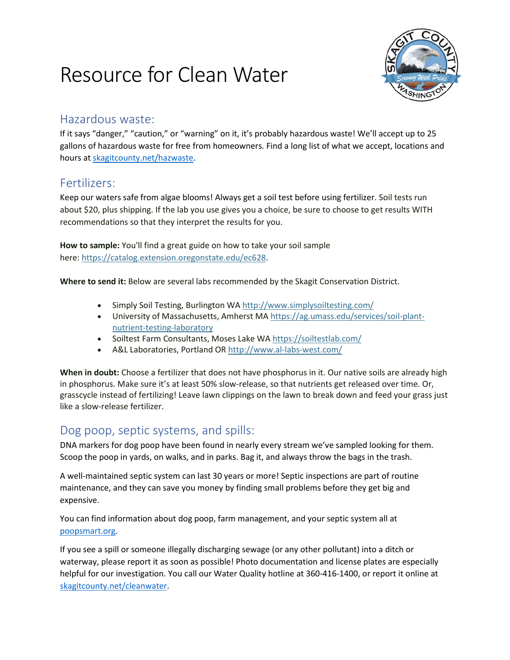# Resource for Clean Water



#### Hazardous waste:

If it says "danger," "caution," or "warning" on it, it's probably hazardous waste! We'll accept up to 25 gallons of hazardous waste for free from homeowners. Find a long list of what we accept, locations and hours a[t skagitcounty.net/hazwaste.](http://www.skagitcounty.net/hazwaste)

### Fertilizers:

Keep our waters safe from algae blooms! Always get a soil test before using fertilizer. Soil tests run about \$20, plus shipping. If the lab you use gives you a choice, be sure to choose to get results WITH recommendations so that they interpret the results for you.

**How to sample:** You'll find a great guide on how to take your soil sample here: [https://catalog.extension.oregonstate.edu/ec628.](https://catalog.extension.oregonstate.edu/ec628)

**Where to send it:** Below are several labs recommended by the Skagit Conservation District.

- Simply Soil Testing, Burlington WA <http://www.simplysoiltesting.com/>
- University of Massachusetts, Amherst MA [https://ag.umass.edu/services/soil-plant](https://ag.umass.edu/services/soil-plant-nutrient-testing-laboratory)[nutrient-testing-laboratory](https://ag.umass.edu/services/soil-plant-nutrient-testing-laboratory)
- Soiltest Farm Consultants, Moses Lake WA <https://soiltestlab.com/>
- A&L Laboratories, Portland OR <http://www.al-labs-west.com/>

**When in doubt:** Choose a fertilizer that does not have phosphorus in it. Our native soils are already high in phosphorus. Make sure it's at least 50% slow-release, so that nutrients get released over time. Or, grasscycle instead of fertilizing! Leave lawn clippings on the lawn to break down and feed your grass just like a slow-release fertilizer.

### Dog poop, septic systems, and spills:

DNA markers for dog poop have been found in nearly every stream we've sampled looking for them. Scoop the poop in yards, on walks, and in parks. Bag it, and always throw the bags in the trash.

A well-maintained septic system can last 30 years or more! Septic inspections are part of routine maintenance, and they can save you money by finding small problems before they get big and expensive.

You can find information about dog poop, farm management, and your septic system all at [poopsmart.org.](http://www.poopsmart.org/)

If you see a spill or someone illegally discharging sewage (or any other pollutant) into a ditch or waterway, please report it as soon as possible! Photo documentation and license plates are especially helpful for our investigation. You call our Water Quality hotline at 360-416-1400, or report it online at [skagitcounty.net/cleanwater.](http://www.skagitcounty.net/cleanwater)